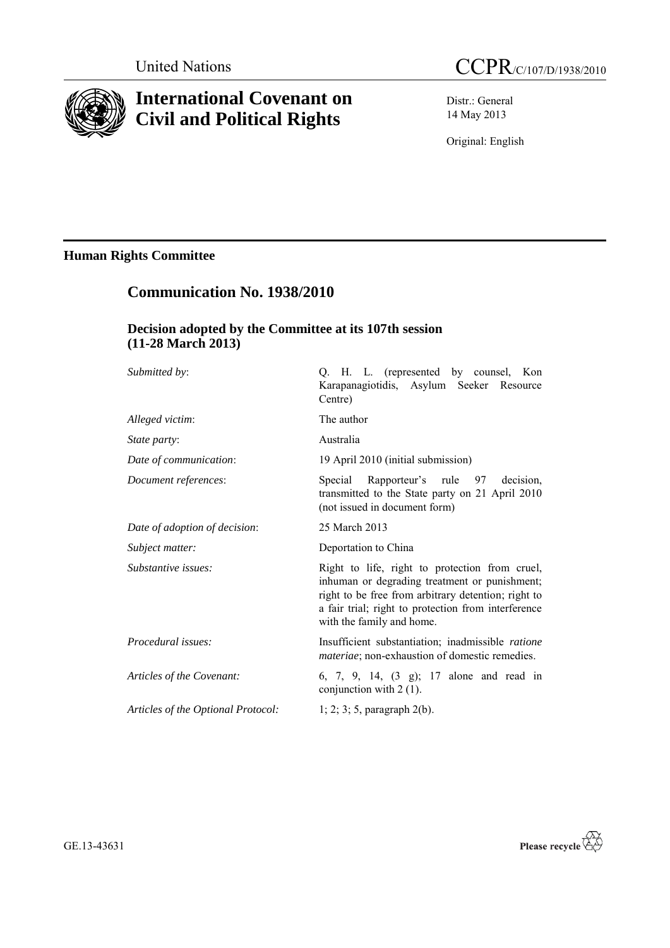

## **International Covenant on Civil and Political Rights**

Distr.: General 14 May 2013

Original: English

## **Human Rights Committee**

# **Communication No. 1938/2010**

## **Decision adopted by the Committee at its 107th session (11-28 March 2013)**

| Submitted by:                      | Q. H. L. (represented by counsel, Kon<br>Karapanagiotidis, Asylum Seeker Resource<br>Centre)                                                                                                                                               |
|------------------------------------|--------------------------------------------------------------------------------------------------------------------------------------------------------------------------------------------------------------------------------------------|
| Alleged victim:                    | The author                                                                                                                                                                                                                                 |
| <i>State party:</i>                | Australia                                                                                                                                                                                                                                  |
| Date of communication:             | 19 April 2010 (initial submission)                                                                                                                                                                                                         |
| Document references:               | Special Rapporteur's rule 97<br>decision.<br>transmitted to the State party on 21 April 2010<br>(not issued in document form)                                                                                                              |
| Date of adoption of decision:      | 25 March 2013                                                                                                                                                                                                                              |
| Subject matter:                    | Deportation to China                                                                                                                                                                                                                       |
| Substantive issues:                | Right to life, right to protection from cruel,<br>inhuman or degrading treatment or punishment;<br>right to be free from arbitrary detention; right to<br>a fair trial; right to protection from interference<br>with the family and home. |
| Procedural issues:                 | Insufficient substantiation; inadmissible ratione<br><i>materiae</i> ; non-exhaustion of domestic remedies.                                                                                                                                |
| Articles of the Covenant:          | 6, 7, 9, 14, (3 g); 17 alone and read in<br>conjunction with $2(1)$ .                                                                                                                                                                      |
| Articles of the Optional Protocol: | $1; 2; 3; 5$ , paragraph $2(b)$ .                                                                                                                                                                                                          |
|                                    |                                                                                                                                                                                                                                            |

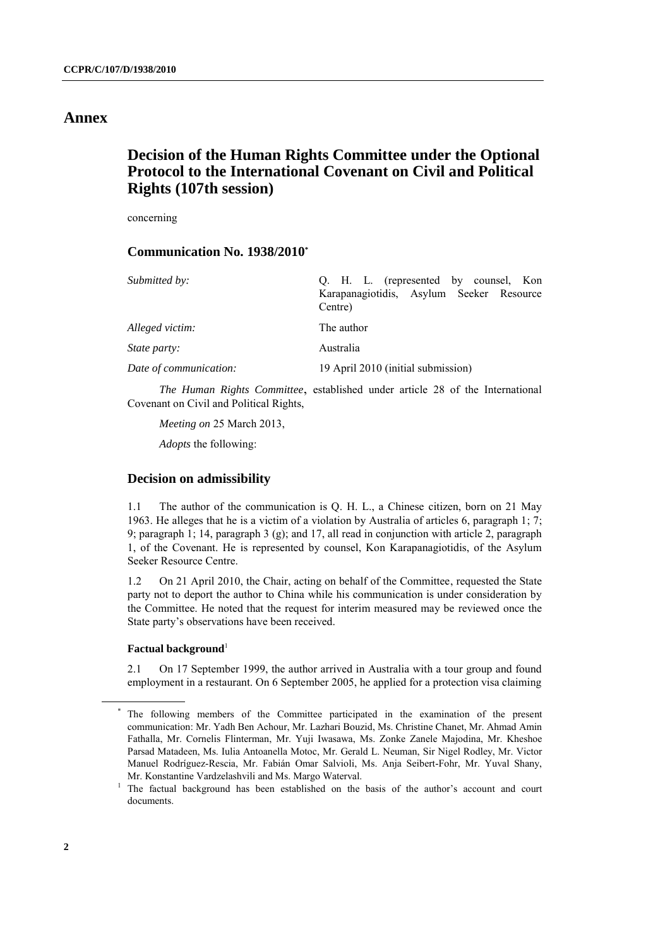### **Annex**

## **Decision of the Human Rights Committee under the Optional Protocol to the International Covenant on Civil and Political Rights (107th session)**

concerning

#### **Communication No. 1938/2010\***

| Submitted by:          | Q. H. L. (represented by counsel, Kon               |
|------------------------|-----------------------------------------------------|
|                        | Karapanagiotidis, Asylum Seeker Resource<br>Centre) |
| Alleged victim:        | The author                                          |
| <i>State party:</i>    | Australia                                           |
| Date of communication: | 19 April 2010 (initial submission)                  |

*The Human Rights Committee*, established under article 28 of the International Covenant on Civil and Political Rights,

*Meeting on* 25 March 2013,

*Adopts* the following:

#### **Decision on admissibility**

1.1 The author of the communication is Q. H. L., a Chinese citizen, born on 21 May 1963. He alleges that he is a victim of a violation by Australia of articles 6, paragraph 1; 7; 9; paragraph 1; 14, paragraph 3 (g); and 17, all read in conjunction with article 2, paragraph 1, of the Covenant. He is represented by counsel, Kon Karapanagiotidis, of the Asylum Seeker Resource Centre.

1.2 On 21 April 2010, the Chair, acting on behalf of the Committee, requested the State party not to deport the author to China while his communication is under consideration by the Committee. He noted that the request for interim measured may be reviewed once the State party's observations have been received.

#### **Factual background**<sup>1</sup>

2.1 On 17 September 1999, the author arrived in Australia with a tour group and found employment in a restaurant. On 6 September 2005, he applied for a protection visa claiming

The following members of the Committee participated in the examination of the present communication: Mr. Yadh Ben Achour, Mr. Lazhari Bouzid, Ms. Christine Chanet, Mr. Ahmad Amin Fathalla, Mr. Cornelis Flinterman, Mr. Yuji Iwasawa, Ms. Zonke Zanele Majodina, Mr. Kheshoe Parsad Matadeen, Ms. Iulia Antoanella Motoc, Mr. Gerald L. Neuman, Sir Nigel Rodley, Mr. Victor Manuel Rodríguez-Rescia, Mr. Fabián Omar Salvioli, Ms. Anja Seibert-Fohr, Mr. Yuval Shany, Mr. Konstantine Vardzelashvili and Ms. Margo Waterval.

<sup>&</sup>lt;sup>1</sup> The factual background has been established on the basis of the author's account and court documents.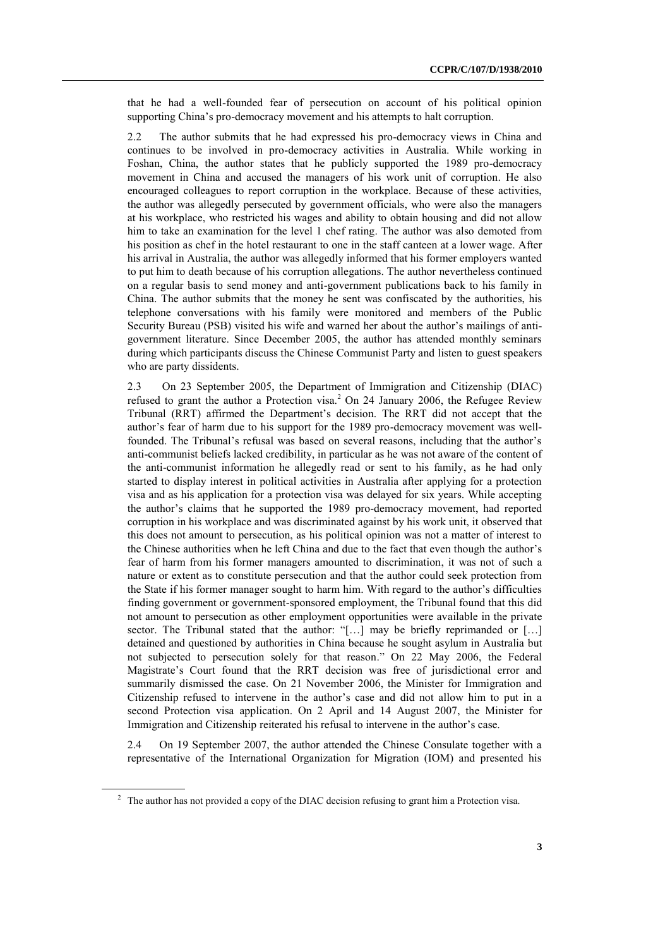that he had a well-founded fear of persecution on account of his political opinion supporting China's pro-democracy movement and his attempts to halt corruption.

2.2 The author submits that he had expressed his pro-democracy views in China and continues to be involved in pro-democracy activities in Australia. While working in Foshan, China, the author states that he publicly supported the 1989 pro-democracy movement in China and accused the managers of his work unit of corruption. He also encouraged colleagues to report corruption in the workplace. Because of these activities, the author was allegedly persecuted by government officials, who were also the managers at his workplace, who restricted his wages and ability to obtain housing and did not allow him to take an examination for the level 1 chef rating. The author was also demoted from his position as chef in the hotel restaurant to one in the staff canteen at a lower wage. After his arrival in Australia, the author was allegedly informed that his former employers wanted to put him to death because of his corruption allegations. The author nevertheless continued on a regular basis to send money and anti-government publications back to his family in China. The author submits that the money he sent was confiscated by the authorities, his telephone conversations with his family were monitored and members of the Public Security Bureau (PSB) visited his wife and warned her about the author's mailings of antigovernment literature. Since December 2005, the author has attended monthly seminars during which participants discuss the Chinese Communist Party and listen to guest speakers who are party dissidents.

2.3 On 23 September 2005, the Department of Immigration and Citizenship (DIAC) refused to grant the author a Protection visa.<sup>2</sup> On 24 January 2006, the Refugee Review Tribunal (RRT) affirmed the Department's decision. The RRT did not accept that the author's fear of harm due to his support for the 1989 pro-democracy movement was wellfounded. The Tribunal's refusal was based on several reasons, including that the author's anti-communist beliefs lacked credibility, in particular as he was not aware of the content of the anti-communist information he allegedly read or sent to his family, as he had only started to display interest in political activities in Australia after applying for a protection visa and as his application for a protection visa was delayed for six years. While accepting the author's claims that he supported the 1989 pro-democracy movement, had reported corruption in his workplace and was discriminated against by his work unit, it observed that this does not amount to persecution, as his political opinion was not a matter of interest to the Chinese authorities when he left China and due to the fact that even though the author's fear of harm from his former managers amounted to discrimination, it was not of such a nature or extent as to constitute persecution and that the author could seek protection from the State if his former manager sought to harm him. With regard to the author's difficulties finding government or government-sponsored employment, the Tribunal found that this did not amount to persecution as other employment opportunities were available in the private sector. The Tribunal stated that the author: "[...] may be briefly reprimanded or [...] detained and questioned by authorities in China because he sought asylum in Australia but not subjected to persecution solely for that reason." On 22 May 2006, the Federal Magistrate's Court found that the RRT decision was free of jurisdictional error and summarily dismissed the case. On 21 November 2006, the Minister for Immigration and Citizenship refused to intervene in the author's case and did not allow him to put in a second Protection visa application. On 2 April and 14 August 2007, the Minister for Immigration and Citizenship reiterated his refusal to intervene in the author's case.

2.4 On 19 September 2007, the author attended the Chinese Consulate together with a representative of the International Organization for Migration (IOM) and presented his

<sup>&</sup>lt;sup>2</sup> The author has not provided a copy of the DIAC decision refusing to grant him a Protection visa.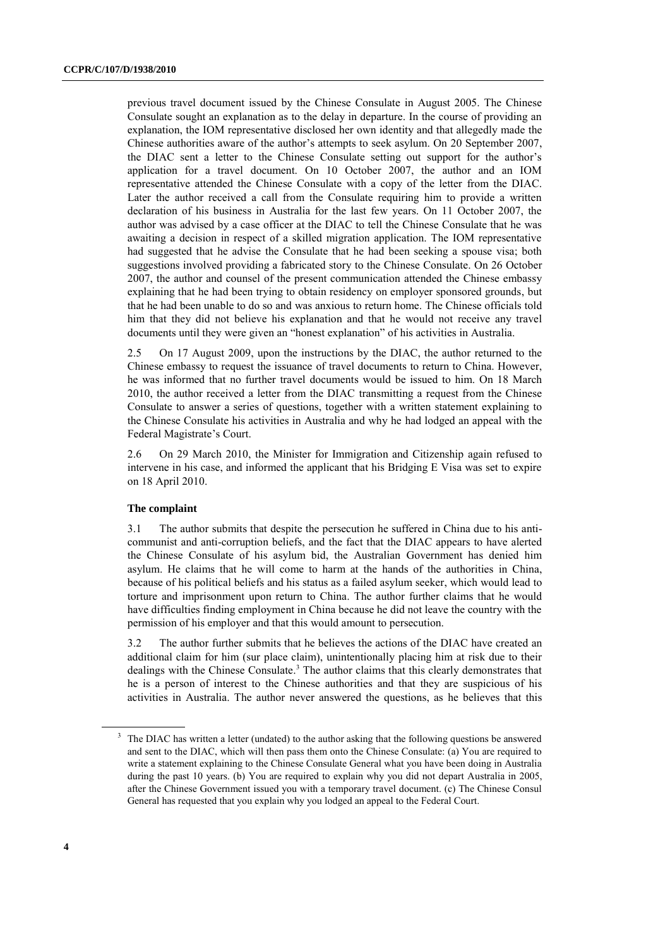previous travel document issued by the Chinese Consulate in August 2005. The Chinese Consulate sought an explanation as to the delay in departure. In the course of providing an explanation, the IOM representative disclosed her own identity and that allegedly made the Chinese authorities aware of the author's attempts to seek asylum. On 20 September 2007, the DIAC sent a letter to the Chinese Consulate setting out support for the author's application for a travel document. On 10 October 2007, the author and an IOM representative attended the Chinese Consulate with a copy of the letter from the DIAC. Later the author received a call from the Consulate requiring him to provide a written declaration of his business in Australia for the last few years. On 11 October 2007, the author was advised by a case officer at the DIAC to tell the Chinese Consulate that he was awaiting a decision in respect of a skilled migration application. The IOM representative had suggested that he advise the Consulate that he had been seeking a spouse visa; both suggestions involved providing a fabricated story to the Chinese Consulate. On 26 October 2007, the author and counsel of the present communication attended the Chinese embassy explaining that he had been trying to obtain residency on employer sponsored grounds, but that he had been unable to do so and was anxious to return home. The Chinese officials told him that they did not believe his explanation and that he would not receive any travel documents until they were given an "honest explanation" of his activities in Australia.

2.5 On 17 August 2009, upon the instructions by the DIAC, the author returned to the Chinese embassy to request the issuance of travel documents to return to China. However, he was informed that no further travel documents would be issued to him. On 18 March 2010, the author received a letter from the DIAC transmitting a request from the Chinese Consulate to answer a series of questions, together with a written statement explaining to the Chinese Consulate his activities in Australia and why he had lodged an appeal with the Federal Magistrate's Court.

2.6 On 29 March 2010, the Minister for Immigration and Citizenship again refused to intervene in his case, and informed the applicant that his Bridging E Visa was set to expire on 18 April 2010.

#### **The complaint**

3.1 The author submits that despite the persecution he suffered in China due to his anticommunist and anti-corruption beliefs, and the fact that the DIAC appears to have alerted the Chinese Consulate of his asylum bid, the Australian Government has denied him asylum. He claims that he will come to harm at the hands of the authorities in China, because of his political beliefs and his status as a failed asylum seeker, which would lead to torture and imprisonment upon return to China. The author further claims that he would have difficulties finding employment in China because he did not leave the country with the permission of his employer and that this would amount to persecution.

3.2 The author further submits that he believes the actions of the DIAC have created an additional claim for him (sur place claim), unintentionally placing him at risk due to their dealings with the Chinese Consulate. <sup>3</sup> The author claims that this clearly demonstrates that he is a person of interest to the Chinese authorities and that they are suspicious of his activities in Australia. The author never answered the questions, as he believes that this

<sup>&</sup>lt;sup>3</sup> The DIAC has written a letter (undated) to the author asking that the following questions be answered and sent to the DIAC, which will then pass them onto the Chinese Consulate: (a) You are required to write a statement explaining to the Chinese Consulate General what you have been doing in Australia during the past 10 years. (b) You are required to explain why you did not depart Australia in 2005, after the Chinese Government issued you with a temporary travel document. (c) The Chinese Consul General has requested that you explain why you lodged an appeal to the Federal Court.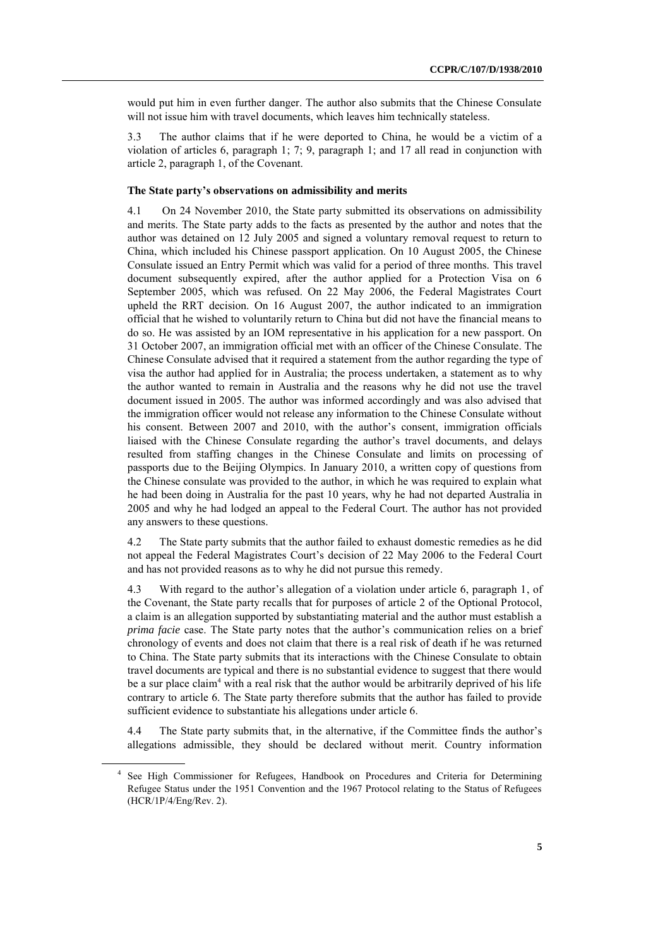would put him in even further danger. The author also submits that the Chinese Consulate will not issue him with travel documents, which leaves him technically stateless.

3.3 The author claims that if he were deported to China, he would be a victim of a violation of articles 6, paragraph 1; 7; 9, paragraph 1; and 17 all read in conjunction with article 2, paragraph 1, of the Covenant.

#### **The State party's observations on admissibility and merits**

4.1 On 24 November 2010, the State party submitted its observations on admissibility and merits. The State party adds to the facts as presented by the author and notes that the author was detained on 12 July 2005 and signed a voluntary removal request to return to China, which included his Chinese passport application. On 10 August 2005, the Chinese Consulate issued an Entry Permit which was valid for a period of three months. This travel document subsequently expired, after the author applied for a Protection Visa on 6 September 2005, which was refused. On 22 May 2006, the Federal Magistrates Court upheld the RRT decision. On 16 August 2007, the author indicated to an immigration official that he wished to voluntarily return to China but did not have the financial means to do so. He was assisted by an IOM representative in his application for a new passport. On 31 October 2007, an immigration official met with an officer of the Chinese Consulate. The Chinese Consulate advised that it required a statement from the author regarding the type of visa the author had applied for in Australia; the process undertaken, a statement as to why the author wanted to remain in Australia and the reasons why he did not use the travel document issued in 2005. The author was informed accordingly and was also advised that the immigration officer would not release any information to the Chinese Consulate without his consent. Between 2007 and 2010, with the author's consent, immigration officials liaised with the Chinese Consulate regarding the author's travel documents, and delays resulted from staffing changes in the Chinese Consulate and limits on processing of passports due to the Beijing Olympics. In January 2010, a written copy of questions from the Chinese consulate was provided to the author, in which he was required to explain what he had been doing in Australia for the past 10 years, why he had not departed Australia in 2005 and why he had lodged an appeal to the Federal Court. The author has not provided any answers to these questions.

4.2 The State party submits that the author failed to exhaust domestic remedies as he did not appeal the Federal Magistrates Court's decision of 22 May 2006 to the Federal Court and has not provided reasons as to why he did not pursue this remedy.

4.3 With regard to the author's allegation of a violation under article 6, paragraph 1, of the Covenant, the State party recalls that for purposes of article 2 of the Optional Protocol, a claim is an allegation supported by substantiating material and the author must establish a *prima facie* case. The State party notes that the author's communication relies on a brief chronology of events and does not claim that there is a real risk of death if he was returned to China. The State party submits that its interactions with the Chinese Consulate to obtain travel documents are typical and there is no substantial evidence to suggest that there would be a sur place claim<sup>4</sup> with a real risk that the author would be arbitrarily deprived of his life contrary to article 6. The State party therefore submits that the author has failed to provide sufficient evidence to substantiate his allegations under article 6.

4.4 The State party submits that, in the alternative, if the Committee finds the author's allegations admissible, they should be declared without merit. Country information

<sup>4</sup> See High Commissioner for Refugees, Handbook on Procedures and Criteria for Determining Refugee Status under the 1951 Convention and the 1967 Protocol relating to the Status of Refugees (HCR/1P/4/Eng/Rev. 2).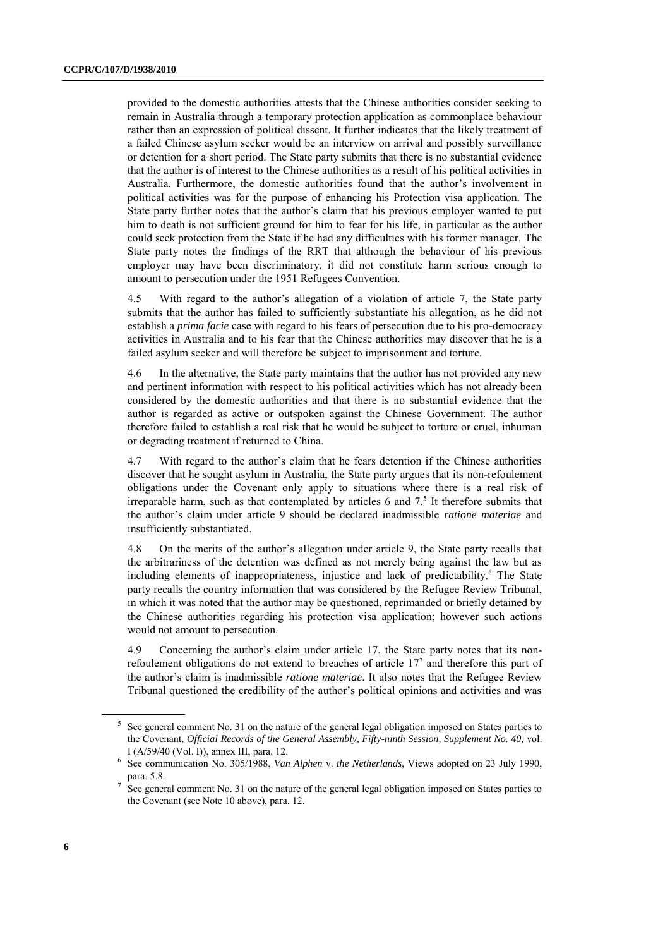provided to the domestic authorities attests that the Chinese authorities consider seeking to remain in Australia through a temporary protection application as commonplace behaviour rather than an expression of political dissent. It further indicates that the likely treatment of a failed Chinese asylum seeker would be an interview on arrival and possibly surveillance or detention for a short period. The State party submits that there is no substantial evidence that the author is of interest to the Chinese authorities as a result of his political activities in Australia. Furthermore, the domestic authorities found that the author's involvement in political activities was for the purpose of enhancing his Protection visa application. The State party further notes that the author's claim that his previous employer wanted to put him to death is not sufficient ground for him to fear for his life, in particular as the author could seek protection from the State if he had any difficulties with his former manager. The State party notes the findings of the RRT that although the behaviour of his previous employer may have been discriminatory, it did not constitute harm serious enough to amount to persecution under the 1951 Refugees Convention.

4.5 With regard to the author's allegation of a violation of article 7, the State party submits that the author has failed to sufficiently substantiate his allegation, as he did not establish a *prima facie* case with regard to his fears of persecution due to his pro-democracy activities in Australia and to his fear that the Chinese authorities may discover that he is a failed asylum seeker and will therefore be subject to imprisonment and torture.

4.6 In the alternative, the State party maintains that the author has not provided any new and pertinent information with respect to his political activities which has not already been considered by the domestic authorities and that there is no substantial evidence that the author is regarded as active or outspoken against the Chinese Government. The author therefore failed to establish a real risk that he would be subject to torture or cruel, inhuman or degrading treatment if returned to China.

4.7 With regard to the author's claim that he fears detention if the Chinese authorities discover that he sought asylum in Australia, the State party argues that its non-refoulement obligations under the Covenant only apply to situations where there is a real risk of irreparable harm, such as that contemplated by articles 6 and  $7<sup>5</sup>$  It therefore submits that the author's claim under article 9 should be declared inadmissible *ratione materiae* and insufficiently substantiated.

4.8 On the merits of the author's allegation under article 9, the State party recalls that the arbitrariness of the detention was defined as not merely being against the law but as including elements of inappropriateness, injustice and lack of predictability.<sup>6</sup> The State party recalls the country information that was considered by the Refugee Review Tribunal, in which it was noted that the author may be questioned, reprimanded or briefly detained by the Chinese authorities regarding his protection visa application; however such actions would not amount to persecution.

4.9 Concerning the author's claim under article 17, the State party notes that its nonrefoulement obligations do not extend to breaches of article  $17<sup>7</sup>$  and therefore this part of the author's claim is inadmissible *ratione materiae*. It also notes that the Refugee Review Tribunal questioned the credibility of the author's political opinions and activities and was

 $<sup>5</sup>$  See general comment No. 31 on the nature of the general legal obligation imposed on States parties to</sup> the Covenant, *Official Records of the General Assembly, Fifty-ninth Session, Supplement No. 40,* vol. I (A/59/40 (Vol. I)), annex III, para. 12.

<sup>6</sup> See communication No. 305/1988, *Van Alphen* v. *the Netherlands*, Views adopted on 23 July 1990, para. 5.8.

<sup>7</sup> See general comment No. 31 on the nature of the general legal obligation imposed on States parties to the Covenant (see Note 10 above), para. 12.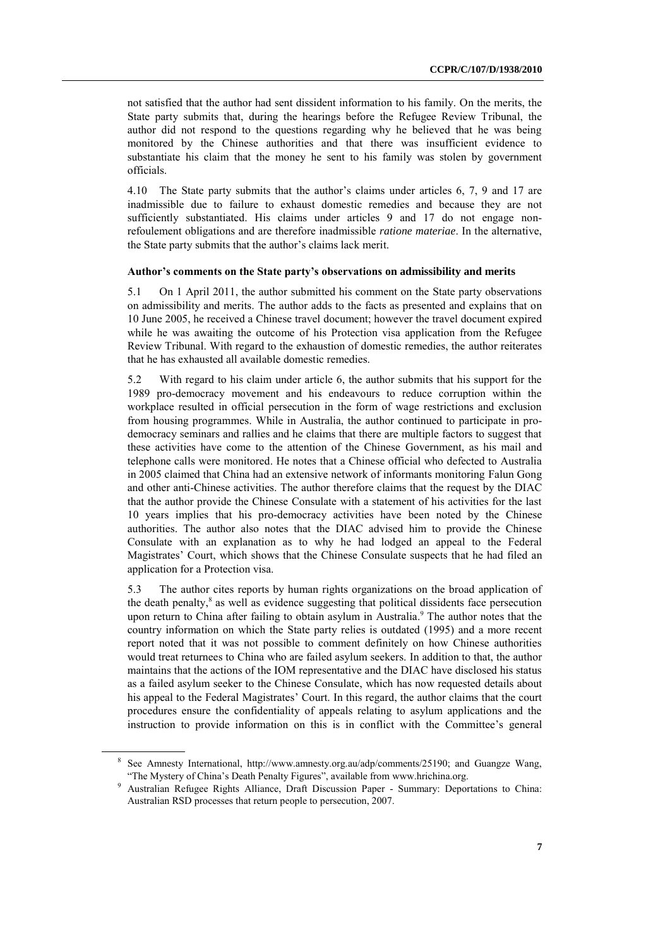not satisfied that the author had sent dissident information to his family. On the merits, the State party submits that, during the hearings before the Refugee Review Tribunal, the author did not respond to the questions regarding why he believed that he was being monitored by the Chinese authorities and that there was insufficient evidence to substantiate his claim that the money he sent to his family was stolen by government officials.

4.10 The State party submits that the author's claims under articles 6, 7, 9 and 17 are inadmissible due to failure to exhaust domestic remedies and because they are not sufficiently substantiated. His claims under articles 9 and 17 do not engage nonrefoulement obligations and are therefore inadmissible *ratione materiae*. In the alternative, the State party submits that the author's claims lack merit.

#### **Author's comments on the State party's observations on admissibility and merits**

5.1 On 1 April 2011, the author submitted his comment on the State party observations on admissibility and merits. The author adds to the facts as presented and explains that on 10 June 2005, he received a Chinese travel document; however the travel document expired while he was awaiting the outcome of his Protection visa application from the Refugee Review Tribunal. With regard to the exhaustion of domestic remedies, the author reiterates that he has exhausted all available domestic remedies.

5.2 With regard to his claim under article 6, the author submits that his support for the 1989 pro-democracy movement and his endeavours to reduce corruption within the workplace resulted in official persecution in the form of wage restrictions and exclusion from housing programmes. While in Australia, the author continued to participate in prodemocracy seminars and rallies and he claims that there are multiple factors to suggest that these activities have come to the attention of the Chinese Government, as his mail and telephone calls were monitored. He notes that a Chinese official who defected to Australia in 2005 claimed that China had an extensive network of informants monitoring Falun Gong and other anti-Chinese activities. The author therefore claims that the request by the DIAC that the author provide the Chinese Consulate with a statement of his activities for the last 10 years implies that his pro-democracy activities have been noted by the Chinese authorities. The author also notes that the DIAC advised him to provide the Chinese Consulate with an explanation as to why he had lodged an appeal to the Federal Magistrates' Court, which shows that the Chinese Consulate suspects that he had filed an application for a Protection visa.

5.3 The author cites reports by human rights organizations on the broad application of the death penalty, 8 as well as evidence suggesting that political dissidents face persecution upon return to China after failing to obtain asylum in Australia. <sup>9</sup> The author notes that the country information on which the State party relies is outdated (1995) and a more recent report noted that it was not possible to comment definitely on how Chinese authorities would treat returnees to China who are failed asylum seekers. In addition to that, the author maintains that the actions of the IOM representative and the DIAC have disclosed his status as a failed asylum seeker to the Chinese Consulate, which has now requested details about his appeal to the Federal Magistrates' Court. In this regard, the author claims that the court procedures ensure the confidentiality of appeals relating to asylum applications and the instruction to provide information on this is in conflict with the Committee's general

<sup>8</sup> See Amnesty International, http://www.amnesty.org.au/adp/comments/25190; and Guangze Wang, "The Mystery of China's Death Penalty Figures", available from [www.hrichina.org.](http://www.hrichina.org/) 

<sup>9</sup> Australian Refugee Rights Alliance, Draft Discussion Paper - Summary: Deportations to China: Australian RSD processes that return people to persecution, 2007.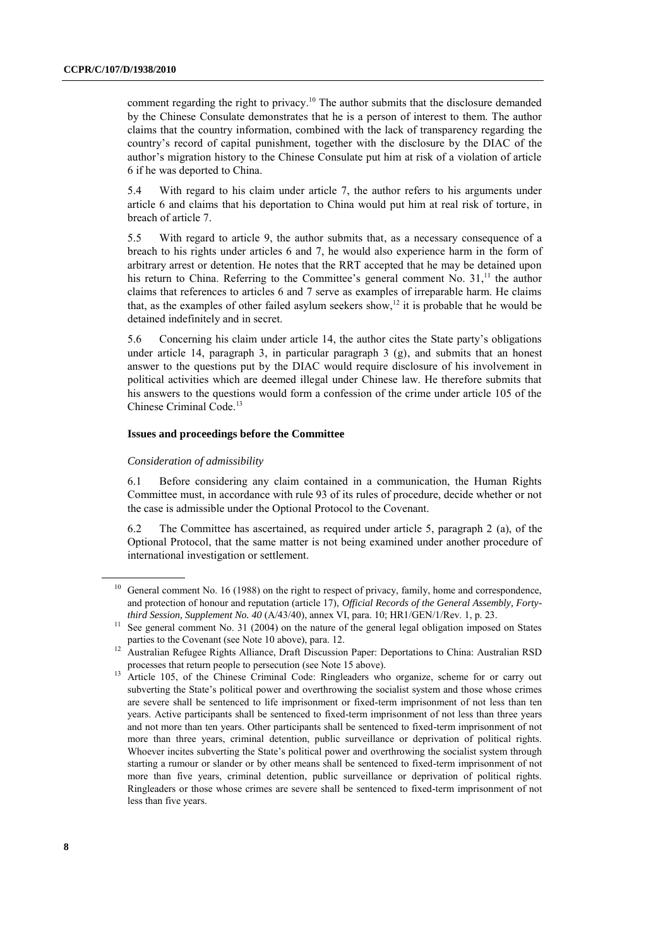comment regarding the right to privacy. <sup>10</sup> The author submits that the disclosure demanded by the Chinese Consulate demonstrates that he is a person of interest to them. The author claims that the country information, combined with the lack of transparency regarding the country's record of capital punishment, together with the disclosure by the DIAC of the author's migration history to the Chinese Consulate put him at risk of a violation of article 6 if he was deported to China.

5.4 With regard to his claim under article 7, the author refers to his arguments under article 6 and claims that his deportation to China would put him at real risk of torture, in breach of article 7.

5.5 With regard to article 9, the author submits that, as a necessary consequence of a breach to his rights under articles 6 and 7, he would also experience harm in the form of arbitrary arrest or detention. He notes that the RRT accepted that he may be detained upon his return to China. Referring to the Committee's general comment No. 31,<sup>11</sup> the author claims that references to articles 6 and 7 serve as examples of irreparable harm. He claims that, as the examples of other failed asylum seekers show,<sup>12</sup> it is probable that he would be detained indefinitely and in secret.

5.6 Concerning his claim under article 14, the author cites the State party's obligations under article 14, paragraph 3, in particular paragraph  $3$  (g), and submits that an honest answer to the questions put by the DIAC would require disclosure of his involvement in political activities which are deemed illegal under Chinese law. He therefore submits that his answers to the questions would form a confession of the crime under article 105 of the Chinese Criminal Code. 13

#### **Issues and proceedings before the Committee**

#### *Consideration of admissibility*

6.1 Before considering any claim contained in a communication, the Human Rights Committee must, in accordance with rule 93 of its rules of procedure, decide whether or not the case is admissible under the Optional Protocol to the Covenant.

6.2 The Committee has ascertained, as required under article 5, paragraph 2 (a), of the Optional Protocol, that the same matter is not being examined under another procedure of international investigation or settlement.

<sup>&</sup>lt;sup>10</sup> General comment No. 16 (1988) on the right to respect of privacy, family, home and correspondence, and protection of honour and reputation (article 17), *Official Records of the General Assembly, Fortythird Session, Supplement No. 40* (A/43/40), annex VI, para. 10; HR1/GEN/1/Rev. 1, p. 23.

See general comment No. 31 (2004) on the nature of the general legal obligation imposed on States parties to the Covenant (see Note 10 above), para. 12.

<sup>&</sup>lt;sup>12</sup> Australian Refugee Rights Alliance, Draft Discussion Paper: Deportations to China: Australian RSD processes that return people to persecution (see Note 15 above).

<sup>&</sup>lt;sup>13</sup> Article 105, of the Chinese Criminal Code: Ringleaders who organize, scheme for or carry out subverting the State's political power and overthrowing the socialist system and those whose crimes are severe shall be sentenced to life imprisonment or fixed-term imprisonment of not less than ten years. Active participants shall be sentenced to fixed-term imprisonment of not less than three years and not more than ten years. Other participants shall be sentenced to fixed-term imprisonment of not more than three years, criminal detention, public surveillance or deprivation of political rights. Whoever incites subverting the State's political power and overthrowing the socialist system through starting a rumour or slander or by other means shall be sentenced to fixed-term imprisonment of not more than five years, criminal detention, public surveillance or deprivation of political rights. Ringleaders or those whose crimes are severe shall be sentenced to fixed-term imprisonment of not less than five years.